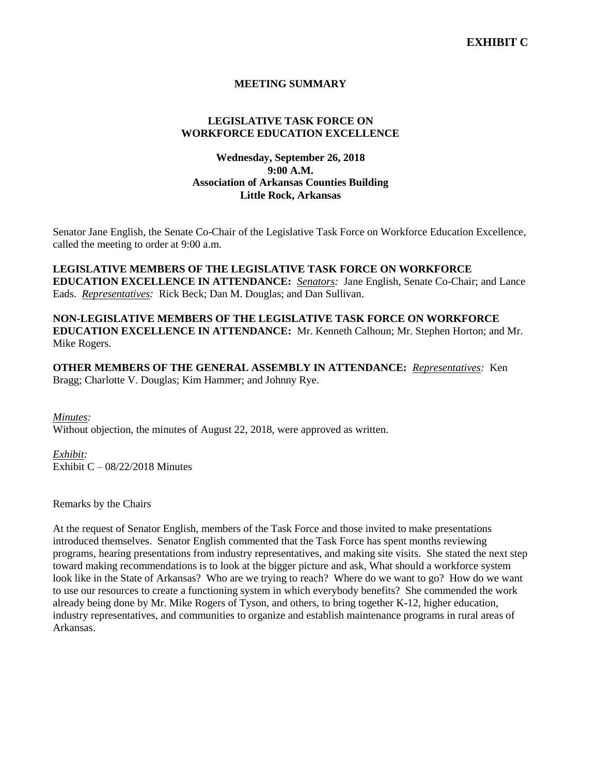# **MEETING SUMMARY**

# **LEGISLATIVE TASK FORCE ON WORKFORCE EDUCATION EXCELLENCE**

# **Wednesday, September 26, 2018 9:00 A.M. Association of Arkansas Counties Building Little Rock, Arkansas**

Senator Jane English, the Senate Co-Chair of the Legislative Task Force on Workforce Education Excellence, called the meeting to order at 9:00 a.m.

**LEGISLATIVE MEMBERS OF THE LEGISLATIVE TASK FORCE ON WORKFORCE EDUCATION EXCELLENCE IN ATTENDANCE:** *Senators:* Jane English, Senate Co-Chair; and Lance Eads. *Representatives:* Rick Beck; Dan M. Douglas; and Dan Sullivan.

**NON-LEGISLATIVE MEMBERS OF THE LEGISLATIVE TASK FORCE ON WORKFORCE EDUCATION EXCELLENCE IN ATTENDANCE:** Mr. Kenneth Calhoun; Mr. Stephen Horton; and Mr. Mike Rogers.

**OTHER MEMBERS OF THE GENERAL ASSEMBLY IN ATTENDANCE:** *Representatives:* Ken Bragg; Charlotte V. Douglas; Kim Hammer; and Johnny Rye.

*Minutes:*

Without objection, the minutes of August 22, 2018, were approved as written.

*Exhibit:*

Exhibit  $C - 08/22/2018$  Minutes

Remarks by the Chairs

At the request of Senator English, members of the Task Force and those invited to make presentations introduced themselves. Senator English commented that the Task Force has spent months reviewing programs, hearing presentations from industry representatives, and making site visits. She stated the next step toward making recommendations is to look at the bigger picture and ask, What should a workforce system look like in the State of Arkansas? Who are we trying to reach? Where do we want to go? How do we want to use our resources to create a functioning system in which everybody benefits? She commended the work already being done by Mr. Mike Rogers of Tyson, and others, to bring together K-12, higher education, industry representatives, and communities to organize and establish maintenance programs in rural areas of Arkansas.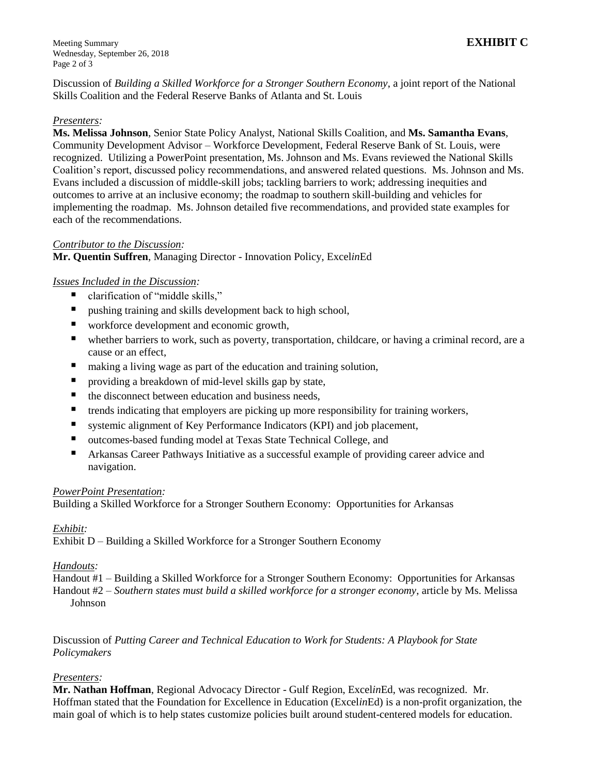Discussion of *Building a Skilled Workforce for a Stronger Southern Economy*, a joint report of the National Skills Coalition and the Federal Reserve Banks of Atlanta and St. Louis

# *Presenters:*

**Ms. Melissa Johnson**, Senior State Policy Analyst, National Skills Coalition, and **Ms. Samantha Evans**, Community Development Advisor – Workforce Development, Federal Reserve Bank of St. Louis, were recognized. Utilizing a PowerPoint presentation, Ms. Johnson and Ms. Evans reviewed the National Skills Coalition's report, discussed policy recommendations, and answered related questions. Ms. Johnson and Ms. Evans included a discussion of middle-skill jobs; tackling barriers to work; addressing inequities and outcomes to arrive at an inclusive economy; the roadmap to southern skill-building and vehicles for implementing the roadmap. Ms. Johnson detailed five recommendations, and provided state examples for each of the recommendations.

### *Contributor to the Discussion:*

**Mr. Quentin Suffren**, Managing Director - Innovation Policy, Excel*in*Ed

### *Issues Included in the Discussion:*

- clarification of "middle skills,"
- pushing training and skills development back to high school,
- workforce development and economic growth,
- whether barriers to work, such as poverty, transportation, childcare, or having a criminal record, are a cause or an effect,
- making a living wage as part of the education and training solution,
- **P** providing a breakdown of mid-level skills gap by state,
- $\blacksquare$  the disconnect between education and business needs,
- **the trends indicating that employers are picking up more responsibility for training workers,**
- systemic alignment of Key Performance Indicators (KPI) and job placement,
- outcomes-based funding model at Texas State Technical College, and
- Arkansas Career Pathways Initiative as a successful example of providing career advice and navigation.

#### *PowerPoint Presentation:*

Building a Skilled Workforce for a Stronger Southern Economy: Opportunities for Arkansas

### *Exhibit:*

Exhibit D – Building a Skilled Workforce for a Stronger Southern Economy

### *Handouts:*

Handout #1 – Building a Skilled Workforce for a Stronger Southern Economy: Opportunities for Arkansas

Handout #2 – *Southern states must build a skilled workforce for a stronger economy*, article by Ms. Melissa Johnson

Discussion of *Putting Career and Technical Education to Work for Students: A Playbook for State Policymakers*

### *Presenters:*

**Mr. Nathan Hoffman**, Regional Advocacy Director - Gulf Region, Excel*in*Ed, was recognized. Mr. Hoffman stated that the Foundation for Excellence in Education (Excel*in*Ed) is a non-profit organization, the main goal of which is to help states customize policies built around student-centered models for education.